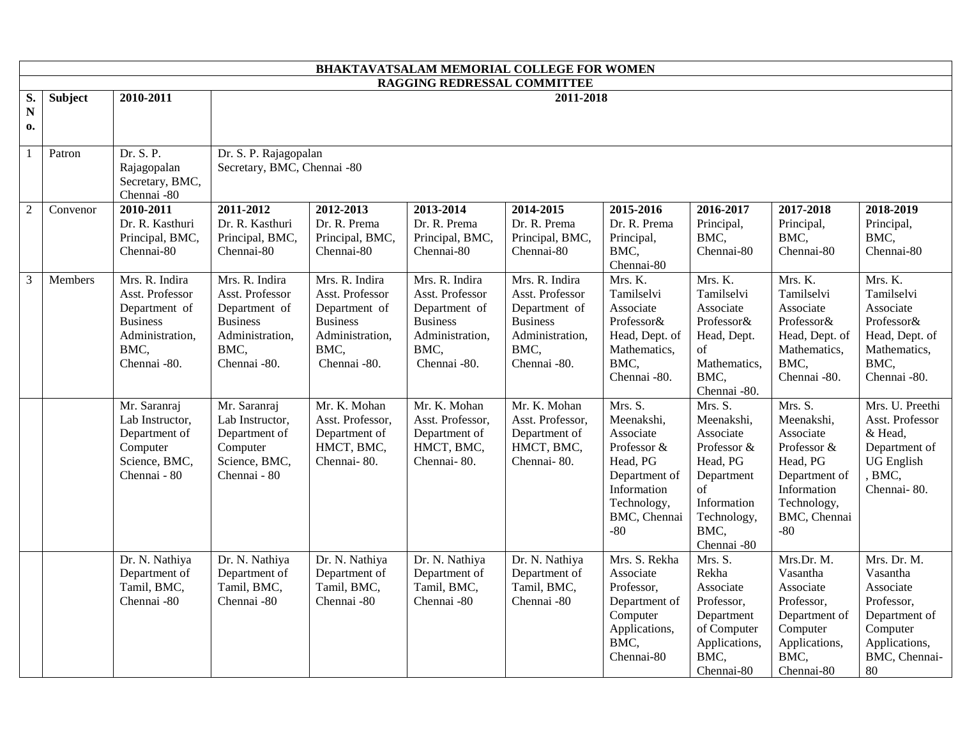| BHAKTAVATSALAM MEMORIAL COLLEGE FOR WOMEN |                             |                                                                                                                  |                                                                                                                  |                                                                                                                  |                                                                                                                  |                                                                                                                  |                                                                                                                                       |                                                                                                                                        |                                                                                                                                       |                                                                                                                         |
|-------------------------------------------|-----------------------------|------------------------------------------------------------------------------------------------------------------|------------------------------------------------------------------------------------------------------------------|------------------------------------------------------------------------------------------------------------------|------------------------------------------------------------------------------------------------------------------|------------------------------------------------------------------------------------------------------------------|---------------------------------------------------------------------------------------------------------------------------------------|----------------------------------------------------------------------------------------------------------------------------------------|---------------------------------------------------------------------------------------------------------------------------------------|-------------------------------------------------------------------------------------------------------------------------|
|                                           | RAGGING REDRESSAL COMMITTEE |                                                                                                                  |                                                                                                                  |                                                                                                                  |                                                                                                                  |                                                                                                                  |                                                                                                                                       |                                                                                                                                        |                                                                                                                                       |                                                                                                                         |
| S.<br>$\mathbf N$<br>0.                   | <b>Subject</b>              | 2010-2011                                                                                                        | 2011-2018                                                                                                        |                                                                                                                  |                                                                                                                  |                                                                                                                  |                                                                                                                                       |                                                                                                                                        |                                                                                                                                       |                                                                                                                         |
| $\overline{1}$                            | Patron                      | Dr. S. P.<br>Rajagopalan<br>Secretary, BMC,<br>Chennai -80                                                       | Dr. S. P. Rajagopalan<br>Secretary, BMC, Chennai -80                                                             |                                                                                                                  |                                                                                                                  |                                                                                                                  |                                                                                                                                       |                                                                                                                                        |                                                                                                                                       |                                                                                                                         |
| $\overline{c}$                            | Convenor                    | 2010-2011<br>Dr. R. Kasthuri<br>Principal, BMC,<br>Chennai-80                                                    | 2011-2012<br>Dr. R. Kasthuri<br>Principal, BMC,<br>Chennai-80                                                    | 2012-2013<br>Dr. R. Prema<br>Principal, BMC,<br>Chennai-80                                                       | 2013-2014<br>Dr. R. Prema<br>Principal, BMC,<br>Chennai-80                                                       | 2014-2015<br>Dr. R. Prema<br>Principal, BMC,<br>Chennai-80                                                       | 2015-2016<br>Dr. R. Prema<br>Principal,<br>BMC,<br>Chennai-80                                                                         | 2016-2017<br>Principal,<br>BMC.<br>Chennai-80                                                                                          | 2017-2018<br>Principal,<br>BMC,<br>Chennai-80                                                                                         | 2018-2019<br>Principal,<br>BMC,<br>Chennai-80                                                                           |
| 3                                         | <b>Members</b>              | Mrs. R. Indira<br>Asst. Professor<br>Department of<br><b>Business</b><br>Administration,<br>BMC,<br>Chennai -80. | Mrs. R. Indira<br>Asst. Professor<br>Department of<br><b>Business</b><br>Administration,<br>BMC,<br>Chennai -80. | Mrs. R. Indira<br>Asst. Professor<br>Department of<br><b>Business</b><br>Administration,<br>BMC,<br>Chennai -80. | Mrs. R. Indira<br>Asst. Professor<br>Department of<br><b>Business</b><br>Administration,<br>BMC,<br>Chennai -80. | Mrs. R. Indira<br>Asst. Professor<br>Department of<br><b>Business</b><br>Administration,<br>BMC,<br>Chennai -80. | Mrs. K.<br>Tamilselvi<br>Associate<br>Professor&<br>Head, Dept. of<br>Mathematics,<br>BMC,<br>Chennai -80.                            | Mrs. K.<br>Tamilselvi<br>Associate<br>Professor&<br>Head, Dept.<br>of<br>Mathematics,<br>BMC,<br>Chennai -80.                          | Mrs. K.<br>Tamilselvi<br>Associate<br>Professor&<br>Head, Dept. of<br>Mathematics,<br>BMC,<br>Chennai -80.                            | Mrs. K.<br>Tamilselvi<br>Associate<br>Professor&<br>Head, Dept. of<br>Mathematics,<br>BMC,<br>Chennai -80.              |
|                                           |                             | Mr. Saranraj<br>Lab Instructor,<br>Department of<br>Computer<br>Science, BMC,<br>Chennai - 80                    | Mr. Saranraj<br>Lab Instructor,<br>Department of<br>Computer<br>Science, BMC,<br>Chennai - 80                    | Mr. K. Mohan<br>Asst. Professor,<br>Department of<br>HMCT, BMC,<br>Chennai-80.                                   | Mr. K. Mohan<br>Asst. Professor,<br>Department of<br>HMCT, BMC,<br>Chennai-80.                                   | Mr. K. Mohan<br>Asst. Professor,<br>Department of<br>HMCT, BMC,<br>Chennai-80.                                   | Mrs. S.<br>Meenakshi,<br>Associate<br>Professor &<br>Head, PG<br>Department of<br>Information<br>Technology,<br>BMC, Chennai<br>$-80$ | Mrs. S.<br>Meenakshi,<br>Associate<br>Professor &<br>Head, PG<br>Department<br>of<br>Information<br>Technology,<br>BMC,<br>Chennai -80 | Mrs. S.<br>Meenakshi,<br>Associate<br>Professor &<br>Head, PG<br>Department of<br>Information<br>Technology,<br>BMC, Chennai<br>$-80$ | Mrs. U. Preethi<br>Asst. Professor<br>& Head,<br>Department of<br><b>UG</b> English<br>, BMC,<br>Chennai-80.            |
|                                           |                             | Dr. N. Nathiya<br>Department of<br>Tamil, BMC,<br>Chennai -80                                                    | Dr. N. Nathiya<br>Department of<br>Tamil, BMC,<br>Chennai -80                                                    | Dr. N. Nathiya<br>Department of<br>Tamil, BMC,<br>Chennai -80                                                    | Dr. N. Nathiya<br>Department of<br>Tamil, BMC,<br>Chennai -80                                                    | Dr. N. Nathiya<br>Department of<br>Tamil, BMC,<br>Chennai -80                                                    | Mrs. S. Rekha<br>Associate<br>Professor,<br>Department of<br>Computer<br>Applications,<br>BMC,<br>Chennai-80                          | Mrs. S.<br>Rekha<br>Associate<br>Professor,<br>Department<br>of Computer<br>Applications,<br>BMC,<br>Chennai-80                        | Mrs.Dr. M.<br>Vasantha<br>Associate<br>Professor,<br>Department of<br>Computer<br>Applications,<br>BMC,<br>Chennai-80                 | Mrs. Dr. M.<br>Vasantha<br>Associate<br>Professor,<br>Department of<br>Computer<br>Applications,<br>BMC, Chennai-<br>80 |